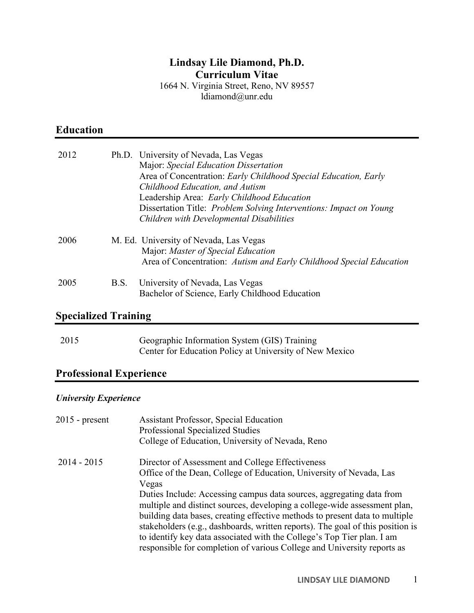# **Lindsay Lile Diamond, Ph.D. Curriculum Vitae**

1664 N. Virginia Street, Reno, NV 89557 ldiamond@unr.edu

# **Education**

| 2012 |      | Ph.D. University of Nevada, Las Vegas<br>Major: Special Education Dissertation<br>Area of Concentration: Early Childhood Special Education, Early<br>Childhood Education, and Autism<br>Leadership Area: Early Childhood Education<br>Dissertation Title: <i>Problem Solving Interventions: Impact on Young</i><br><b>Children with Developmental Disabilities</b> |
|------|------|--------------------------------------------------------------------------------------------------------------------------------------------------------------------------------------------------------------------------------------------------------------------------------------------------------------------------------------------------------------------|
| 2006 |      | M. Ed. University of Nevada, Las Vegas<br>Major: Master of Special Education<br>Area of Concentration: Autism and Early Childhood Special Education                                                                                                                                                                                                                |
| 2005 | B.S. | University of Nevada, Las Vegas<br>Bachelor of Science, Early Childhood Education                                                                                                                                                                                                                                                                                  |

# **Specialized Training**

| 2015 | Geographic Information System (GIS) Training            |
|------|---------------------------------------------------------|
|      | Center for Education Policy at University of New Mexico |

# **Professional Experience**

## *University Experience*

| $2015$ - present | <b>Assistant Professor, Special Education</b><br>Professional Specialized Studies<br>College of Education, University of Nevada, Reno                                                                                                                                                                                                                                                                                                                                                                                                                                                                       |
|------------------|-------------------------------------------------------------------------------------------------------------------------------------------------------------------------------------------------------------------------------------------------------------------------------------------------------------------------------------------------------------------------------------------------------------------------------------------------------------------------------------------------------------------------------------------------------------------------------------------------------------|
| $2014 - 2015$    | Director of Assessment and College Effectiveness<br>Office of the Dean, College of Education, University of Nevada, Las<br>Vegas<br>Duties Include: Accessing campus data sources, aggregating data from<br>multiple and distinct sources, developing a college-wide assessment plan,<br>building data bases, creating effective methods to present data to multiple<br>stakeholders (e.g., dashboards, written reports). The goal of this position is<br>to identify key data associated with the College's Top Tier plan. I am<br>responsible for completion of various College and University reports as |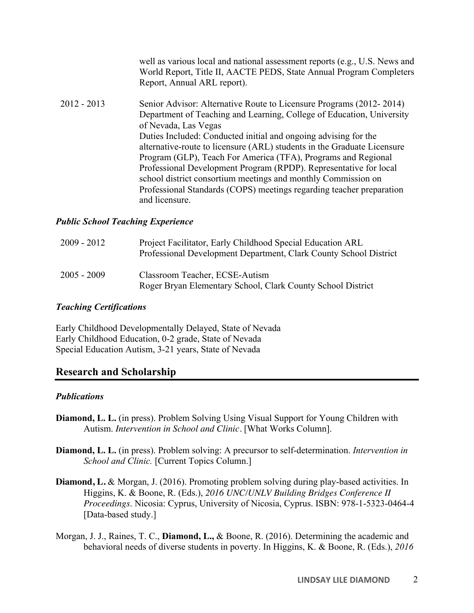|             | well as various local and national assessment reports (e.g., U.S. News and<br>World Report, Title II, AACTE PEDS, State Annual Program Completers<br>Report, Annual ARL report).                                                                                                                                                                                                                                                                                                                                                                                                                                    |
|-------------|---------------------------------------------------------------------------------------------------------------------------------------------------------------------------------------------------------------------------------------------------------------------------------------------------------------------------------------------------------------------------------------------------------------------------------------------------------------------------------------------------------------------------------------------------------------------------------------------------------------------|
| 2012 - 2013 | Senior Advisor: Alternative Route to Licensure Programs (2012-2014)<br>Department of Teaching and Learning, College of Education, University<br>of Nevada, Las Vegas<br>Duties Included: Conducted initial and ongoing advising for the<br>alternative-route to licensure (ARL) students in the Graduate Licensure<br>Program (GLP), Teach For America (TFA), Programs and Regional<br>Professional Development Program (RPDP). Representative for local<br>school district consortium meetings and monthly Commission on<br>Professional Standards (COPS) meetings regarding teacher preparation<br>and licensure. |

#### *Public School Teaching Experience*

| $2009 - 2012$ | Project Facilitator, Early Childhood Special Education ARL<br>Professional Development Department, Clark County School District |
|---------------|---------------------------------------------------------------------------------------------------------------------------------|
| $2005 - 2009$ | Classroom Teacher, ECSE-Autism<br>Roger Bryan Elementary School, Clark County School District                                   |

#### *Teaching Certifications*

Early Childhood Developmentally Delayed, State of Nevada Early Childhood Education, 0-2 grade, State of Nevada Special Education Autism, 3-21 years, State of Nevada

### **Research and Scholarship**

#### *Publications*

- **Diamond, L. L.** (in press). Problem Solving Using Visual Support for Young Children with Autism. *Intervention in School and Clinic.* [What Works Column].
- **Diamond, L. L.** (in press). Problem solving: A precursor to self-determination. *Intervention in School and Clinic.* [Current Topics Column.]
- **Diamond, L.** & Morgan, J. (2016). Promoting problem solving during play-based activities. In Higgins, K. & Boone, R. (Eds.), *2016 UNC/UNLV Building Bridges Conference II Proceedings*. Nicosia: Cyprus, University of Nicosia, Cyprus. ISBN: 978-1-5323-0464-4 [Data-based study.]
- Morgan, J. J., Raines, T. C., **Diamond, L.,** & Boone, R. (2016). Determining the academic and behavioral needs of diverse students in poverty. In Higgins, K. & Boone, R. (Eds.), *2016*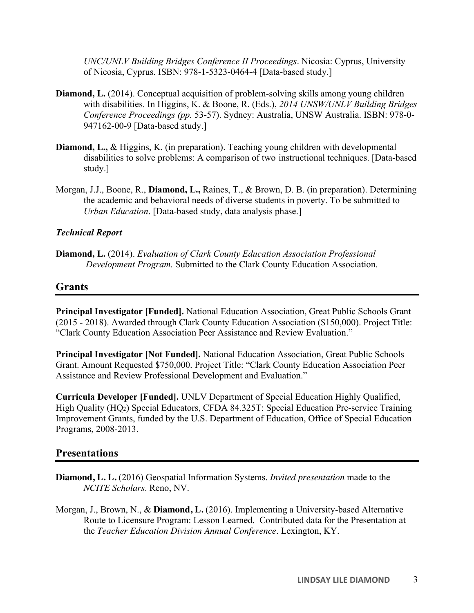*UNC/UNLV Building Bridges Conference II Proceedings*. Nicosia: Cyprus, University of Nicosia, Cyprus. ISBN: 978-1-5323-0464-4 [Data-based study.]

- **Diamond, L.** (2014). Conceptual acquisition of problem-solving skills among young children with disabilities. In Higgins, K. & Boone, R. (Eds.), *2014 UNSW/UNLV Building Bridges Conference Proceedings (pp.* 53-57). Sydney: Australia, UNSW Australia. ISBN: 978-0- 947162-00-9 [Data-based study.]
- **Diamond, L.,** & Higgins, K. (in preparation). Teaching young children with developmental disabilities to solve problems: A comparison of two instructional techniques. [Data-based study.]
- Morgan, J.J., Boone, R., **Diamond, L.,** Raines, T., & Brown, D. B. (in preparation). Determining the academic and behavioral needs of diverse students in poverty. To be submitted to *Urban Education*. [Data-based study, data analysis phase.]

#### *Technical Report*

**Diamond, L.** (2014). *Evaluation of Clark County Education Association Professional Development Program.* Submitted to the Clark County Education Association.

## **Grants**

**Principal Investigator [Funded].** National Education Association, Great Public Schools Grant (2015 - 2018). Awarded through Clark County Education Association (\$150,000). Project Title: "Clark County Education Association Peer Assistance and Review Evaluation."

**Principal Investigator [Not Funded].** National Education Association, Great Public Schools Grant. Amount Requested \$750,000. Project Title: "Clark County Education Association Peer Assistance and Review Professional Development and Evaluation."

**Curricula Developer [Funded].** UNLV Department of Special Education Highly Qualified, High Quality (HQ2) Special Educators, CFDA 84.325T: Special Education Pre-service Training Improvement Grants, funded by the U.S. Department of Education, Office of Special Education Programs, 2008-2013.

## **Presentations**

- **Diamond, L. L.** (2016) Geospatial Information Systems. *Invited presentation* made to the *NCITE Scholars*. Reno, NV.
- Morgan, J., Brown, N., & **Diamond, L.** (2016). Implementing a University-based Alternative Route to Licensure Program: Lesson Learned. Contributed data for the Presentation at the *Teacher Education Division Annual Conference*. Lexington, KY.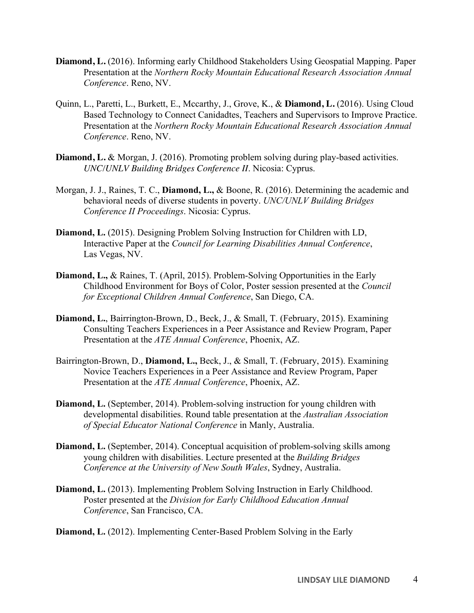- **Diamond, L.** (2016). Informing early Childhood Stakeholders Using Geospatial Mapping. Paper Presentation at the *Northern Rocky Mountain Educational Research Association Annual Conference*. Reno, NV.
- Quinn, L., Paretti, L., Burkett, E., Mccarthy, J., Grove, K., & **Diamond, L.** (2016). Using Cloud Based Technology to Connect Canidadtes, Teachers and Supervisors to Improve Practice. Presentation at the *Northern Rocky Mountain Educational Research Association Annual Conference*. Reno, NV.
- **Diamond, L.** & Morgan, J. (2016). Promoting problem solving during play-based activities. *UNC/UNLV Building Bridges Conference II*. Nicosia: Cyprus.
- Morgan, J. J., Raines, T. C., **Diamond, L.,** & Boone, R. (2016). Determining the academic and behavioral needs of diverse students in poverty. *UNC/UNLV Building Bridges Conference II Proceedings*. Nicosia: Cyprus.
- **Diamond, L.** (2015). Designing Problem Solving Instruction for Children with LD, Interactive Paper at the *Council for Learning Disabilities Annual Conference*, Las Vegas, NV.
- **Diamond, L.,** & Raines, T. (April, 2015). Problem-Solving Opportunities in the Early Childhood Environment for Boys of Color, Poster session presented at the *Council for Exceptional Children Annual Conference*, San Diego, CA.
- **Diamond, L.**, Bairrington-Brown, D., Beck, J., & Small, T. (February, 2015). Examining Consulting Teachers Experiences in a Peer Assistance and Review Program, Paper Presentation at the *ATE Annual Conference*, Phoenix, AZ.
- Bairrington-Brown, D., **Diamond, L.,** Beck, J., & Small, T. (February, 2015). Examining Novice Teachers Experiences in a Peer Assistance and Review Program, Paper Presentation at the *ATE Annual Conference*, Phoenix, AZ.
- **Diamond, L.** (September, 2014). Problem-solving instruction for young children with developmental disabilities. Round table presentation at the *Australian Association of Special Educator National Conference* in Manly, Australia.
- **Diamond, L.** (September, 2014). Conceptual acquisition of problem-solving skills among young children with disabilities. Lecture presented at the *Building Bridges Conference at the University of New South Wales*, Sydney, Australia.
- **Diamond, L.** (2013). Implementing Problem Solving Instruction in Early Childhood. Poster presented at the *Division for Early Childhood Education Annual Conference*, San Francisco, CA.

**Diamond, L.** (2012). Implementing Center-Based Problem Solving in the Early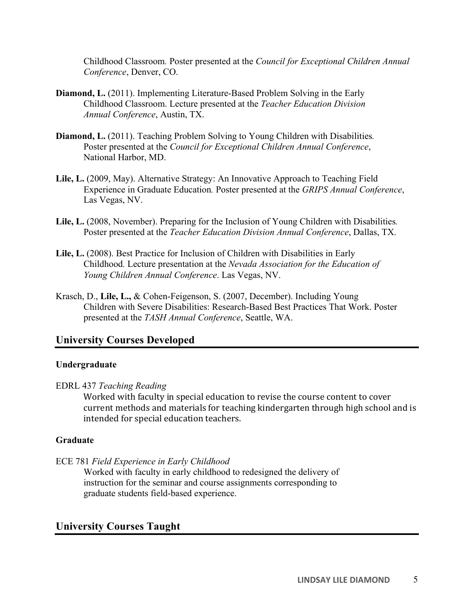Childhood Classroom*.* Poster presented at the *Council for Exceptional Children Annual Conference*, Denver, CO.

- **Diamond, L.** (2011). Implementing Literature-Based Problem Solving in the Early Childhood Classroom. Lecture presented at the *Teacher Education Division Annual Conference*, Austin, TX.
- **Diamond, L.** (2011). Teaching Problem Solving to Young Children with Disabilities*.*  Poster presented at the *Council for Exceptional Children Annual Conference*, National Harbor, MD.
- Lile, L. (2009, May). Alternative Strategy: An Innovative Approach to Teaching Field Experience in Graduate Education*.* Poster presented at the *GRIPS Annual Conference*, Las Vegas, NV.
- **Lile, L.** (2008, November). Preparing for the Inclusion of Young Children with Disabilities*.*  Poster presented at the *Teacher Education Division Annual Conference*, Dallas, TX.
- **Lile, L.** (2008). Best Practice for Inclusion of Children with Disabilities in Early Childhood*.* Lecture presentation at the *Nevada Association for the Education of Young Children Annual Conference*. Las Vegas, NV.
- Krasch, D., **Lile, L.,** & Cohen-Feigenson, S. (2007, December). Including Young Children with Severe Disabilities: Research-Based Best Practices That Work. Poster presented at the *TASH Annual Conference*, Seattle, WA.

# **University Courses Developed**

### **Undergraduate**

### EDRL 437 *Teaching Reading*

 current methods and materials for teaching kindergarten through high school and is Worked with faculty in special education to revise the course content to cover intended for special education teachers.

### **Graduate**

ECE 781 *Field Experience in Early Childhood* 

Worked with faculty in early childhood to redesigned the delivery of instruction for the seminar and course assignments corresponding to graduate students field-based experience.

# **University Courses Taught**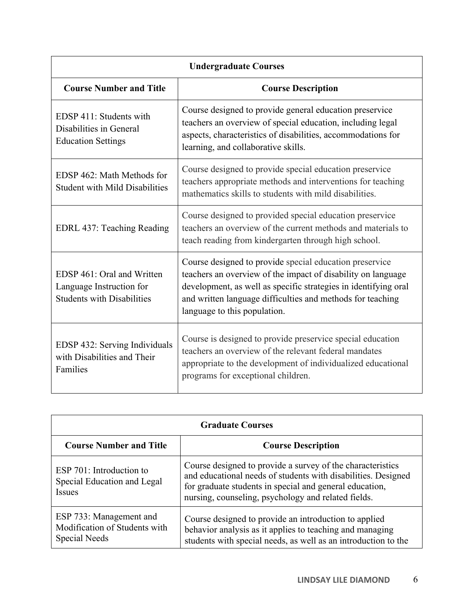| <b>Undergraduate Courses</b>                                                                |                                                                                                                                                                                                                                                                                          |  |
|---------------------------------------------------------------------------------------------|------------------------------------------------------------------------------------------------------------------------------------------------------------------------------------------------------------------------------------------------------------------------------------------|--|
| <b>Course Number and Title</b>                                                              | <b>Course Description</b>                                                                                                                                                                                                                                                                |  |
| EDSP 411: Students with<br>Disabilities in General<br><b>Education Settings</b>             | Course designed to provide general education preservice<br>teachers an overview of special education, including legal<br>aspects, characteristics of disabilities, accommodations for<br>learning, and collaborative skills.                                                             |  |
| EDSP 462: Math Methods for<br><b>Student with Mild Disabilities</b>                         | Course designed to provide special education preservice<br>teachers appropriate methods and interventions for teaching<br>mathematics skills to students with mild disabilities.                                                                                                         |  |
| EDRL 437: Teaching Reading                                                                  | Course designed to provided special education preservice<br>teachers an overview of the current methods and materials to<br>teach reading from kindergarten through high school.                                                                                                         |  |
| EDSP 461: Oral and Written<br>Language Instruction for<br><b>Students with Disabilities</b> | Course designed to provide special education preservice<br>teachers an overview of the impact of disability on language<br>development, as well as specific strategies in identifying oral<br>and written language difficulties and methods for teaching<br>language to this population. |  |
| EDSP 432: Serving Individuals<br>with Disabilities and Their<br>Families                    | Course is designed to provide preservice special education<br>teachers an overview of the relevant federal mandates<br>appropriate to the development of individualized educational<br>programs for exceptional children.                                                                |  |

| <b>Graduate Courses</b>                                                   |                                                                                                                                                                                                                                               |  |  |
|---------------------------------------------------------------------------|-----------------------------------------------------------------------------------------------------------------------------------------------------------------------------------------------------------------------------------------------|--|--|
| <b>Course Number and Title</b>                                            | <b>Course Description</b>                                                                                                                                                                                                                     |  |  |
| ESP 701: Introduction to<br>Special Education and Legal<br><b>Issues</b>  | Course designed to provide a survey of the characteristics<br>and educational needs of students with disabilities. Designed<br>for graduate students in special and general education,<br>nursing, counseling, psychology and related fields. |  |  |
| ESP 733: Management and<br>Modification of Students with<br>Special Needs | Course designed to provide an introduction to applied<br>behavior analysis as it applies to teaching and managing<br>students with special needs, as well as an introduction to the                                                           |  |  |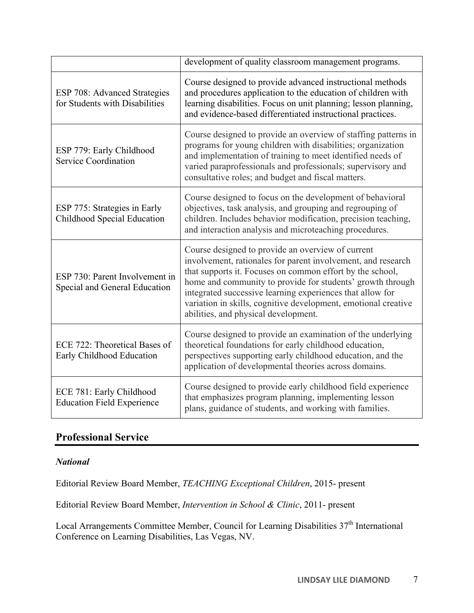|                                                                       | development of quality classroom management programs.                                                                                                                                                                                                                                                                                                                                                               |
|-----------------------------------------------------------------------|---------------------------------------------------------------------------------------------------------------------------------------------------------------------------------------------------------------------------------------------------------------------------------------------------------------------------------------------------------------------------------------------------------------------|
| <b>ESP 708: Advanced Strategies</b><br>for Students with Disabilities | Course designed to provide advanced instructional methods<br>and procedures application to the education of children with<br>learning disabilities. Focus on unit planning; lesson planning,<br>and evidence-based differentiated instructional practices.                                                                                                                                                          |
| ESP 779: Early Childhood<br><b>Service Coordination</b>               | Course designed to provide an overview of staffing patterns in<br>programs for young children with disabilities; organization<br>and implementation of training to meet identified needs of<br>varied paraprofessionals and professionals; supervisory and<br>consultative roles; and budget and fiscal matters.                                                                                                    |
| ESP 775: Strategies in Early<br>Childhood Special Education           | Course designed to focus on the development of behavioral<br>objectives, task analysis, and grouping and regrouping of<br>children. Includes behavior modification, precision teaching,<br>and interaction analysis and microteaching procedures.                                                                                                                                                                   |
| ESP 730: Parent Involvement in<br>Special and General Education       | Course designed to provide an overview of current<br>involvement, rationales for parent involvement, and research<br>that supports it. Focuses on common effort by the school,<br>home and community to provide for students' growth through<br>integrated successive learning experiences that allow for<br>variation in skills, cognitive development, emotional creative<br>abilities, and physical development. |
| ECE 722: Theoretical Bases of<br>Early Childhood Education            | Course designed to provide an examination of the underlying<br>theoretical foundations for early childhood education,<br>perspectives supporting early childhood education, and the<br>application of developmental theories across domains.                                                                                                                                                                        |
| ECE 781: Early Childhood<br><b>Education Field Experience</b>         | Course designed to provide early childhood field experience<br>that emphasizes program planning, implementing lesson<br>plans, guidance of students, and working with families.                                                                                                                                                                                                                                     |

# **Professional Service**

## *National*

Editorial Review Board Member, *TEACHING Exceptional Children*, 2015- present

Editorial Review Board Member, *Intervention in School & Clinic*, 2011- present

Local Arrangements Committee Member, Council for Learning Disabilities 37<sup>th</sup> International Conference on Learning Disabilities, Las Vegas, NV.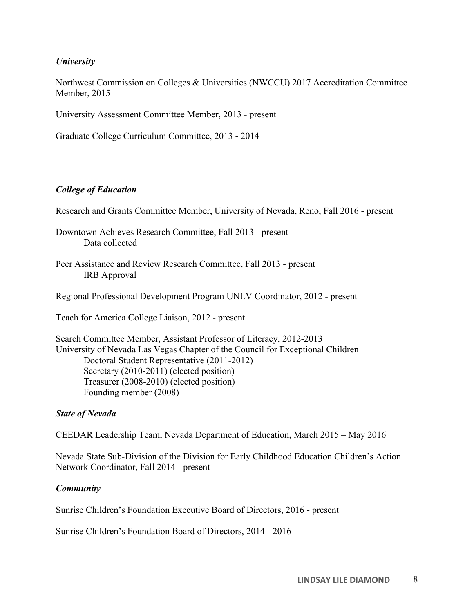### *University*

Northwest Commission on Colleges & Universities (NWCCU) 2017 Accreditation Committee Member, 2015

University Assessment Committee Member, 2013 - present

Graduate College Curriculum Committee, 2013 - 2014

#### *College of Education*

Research and Grants Committee Member, University of Nevada, Reno, Fall 2016 - present

- Downtown Achieves Research Committee, Fall 2013 present Data collected
- Peer Assistance and Review Research Committee, Fall 2013 present IRB Approval

Regional Professional Development Program UNLV Coordinator, 2012 - present

Teach for America College Liaison, 2012 - present

```
Search Committee Member, Assistant Professor of Literacy, 2012-2013 
University of Nevada Las Vegas Chapter of the Council for Exceptional Children 
       Doctoral Student Representative (2011-2012) 
       Secretary (2010-2011) (elected position) 
       Treasurer (2008-2010) (elected position) 
       Founding member (2008)
```
#### *State of Nevada*

CEEDAR Leadership Team, Nevada Department of Education, March 2015 – May 2016

Nevada State Sub-Division of the Division for Early Childhood Education Children's Action Network Coordinator, Fall 2014 - present

#### *Community*

Sunrise Children's Foundation Executive Board of Directors, 2016 - present

Sunrise Children's Foundation Board of Directors, 2014 - 2016